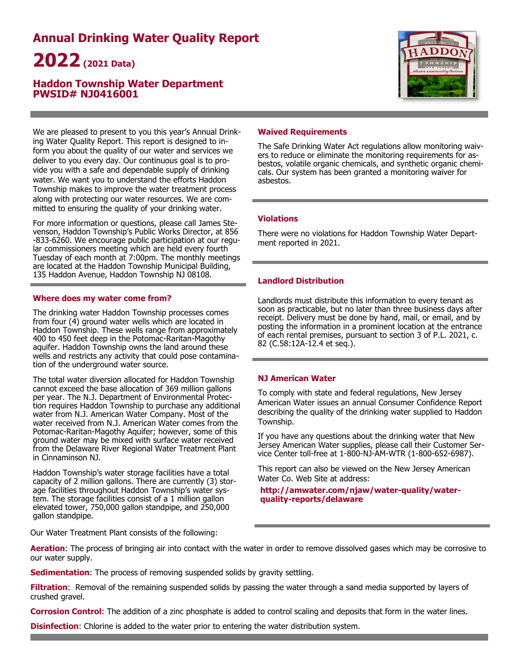# **Annual Drinking Water Quality Report 2022(2021 Data)**

# **Haddon Township Water Department PWSID# NJ0416001**



We are pleased to present to you this year's Annual Drinking Water Quality Report. This report is designed to inform you about the quality of our water and services we deliver to you every day. Our continuous goal is to provide you with a safe and dependable supply of drinking water. We want you to understand the efforts Haddon Township makes to improve the water treatment process along with protecting our water resources. We are committed to ensuring the quality of your drinking water.

For more information or questions, please call James Stevenson, Haddon Township's Public Works Director, at 856 -833-6260. We encourage public participation at our regular commissioners meeting which are held every fourth Tuesday of each month at 7:00pm. The monthly meetings are located at the Haddon Township Municipal Building, 135 Haddon Avenue, Haddon Township NJ 08108.

# **Where does my water come from?**

The drinking water Haddon Township processes comes from four  $(\overline{4})$  ground water wells which are located in Haddon Township. These wells range from approximately 400 to 450 feet deep in the Potomac-Raritan-Magothy aquifer. Haddon Township owns the land around these wells and restricts any activity that could pose contamination of the underground water source.

The total water diversion allocated for Haddon Township cannot exceed the base allocation of 369 million gallons per year. The N.J. Department of Environmental Protection requires Haddon Township to purchase any additional water from N.J. American Water Company. Most of the water received from N.J. American Water comes from the Potomac-Raritan-Magothy Aquifer; however, some of this ground water may be mixed with surface water received from the Delaware River Regional Water Treatment Plant in Cinnaminson NJ.

Haddon Township's water storage facilities have a total capacity of 2 million gallons. There are currently (3) storage facilities throughout Haddon Township's water system. The storage facilities consist of a 1 million gallon elevated tower, 750,000 gallon standpipe, and 250,000 gallon standpipe.

# **Waived Requirements**

The Safe Drinking Water Act regulations allow monitoring waivers to reduce or eliminate the monitoring requirements for asbestos, volatile organic chemicals, and synthetic organic chemicals. Our system has been granted a monitoring waiver for asbestos.

# **Violations**

There were no violations for Haddon Township Water Department reported in 2021.

# **Landlord Distribution**

Landlords must distribute this information to every tenant as soon as practicable, but no later than three business days after receipt. Delivery must be done by hand, mail, or email, and by posting the information in a prominent location at the entrance of each rental premises, pursuant to section 3 of P.L. 2021, c. 82 (C.58:12A-12.4 et seq.).

# **NJ American Water**

To comply with state and federal regulations, New Jersey American Water issues an annual Consumer Confidence Report describing the quality of the drinking water supplied to Haddon Township.

If you have any questions about the drinking water that New Jersey American Water supplies, please call their Customer Service Center toll-free at 1-800-NJ-AM-WTR (1-800-652-6987).

This report can also be viewed on the New Jersey American Water Co. Web Site at address:

**http://amwater.com/njaw/water-quality/waterquality-reports/delaware** 

Our Water Treatment Plant consists of the following:

**Aeration**: The process of bringing air into contact with the water in order to remove dissolved gases which may be corrosive to our water supply.

**Sedimentation:** The process of removing suspended solids by gravity settling.

**Filtration**: Removal of the remaining suspended solids by passing the water through a sand media supported by layers of crushed gravel.

**Corrosion Control**: The addition of a zinc phosphate is added to control scaling and deposits that form in the water lines.

**Disinfection**: Chlorine is added to the water prior to entering the water distribution system.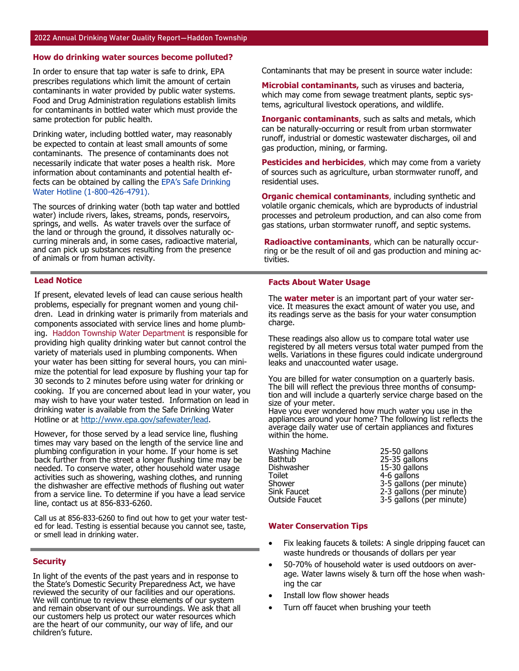#### **How do drinking water sources become polluted?**

In order to ensure that tap water is safe to drink, EPA prescribes regulations which limit the amount of certain contaminants in water provided by public water systems. Food and Drug Administration regulations establish limits for contaminants in bottled water which must provide the same protection for public health.

Drinking water, including bottled water, may reasonably be expected to contain at least small amounts of some contaminants. The presence of contaminants does not necessarily indicate that water poses a health risk. More information about contaminants and potential health effects can be obtained by calling the EPA's Safe Drinking Water Hotline (1-800-426-4791).

The sources of drinking water (both tap water and bottled water) include rivers, lakes, streams, ponds, reservoirs, springs, and wells. As water travels over the surface of the land or through the ground, it dissolves naturally occurring minerals and, in some cases, radioactive material, and can pick up substances resulting from the presence of animals or from human activity.

#### **Lead Notice**

If present, elevated levels of lead can cause serious health problems, especially for pregnant women and young children. Lead in drinking water is primarily from materials and components associated with service lines and home plumbing. Haddon Township Water Department is responsible for providing high quality drinking water but cannot control the variety of materials used in plumbing components. When your water has been sitting for several hours, you can minimize the potential for lead exposure by flushing your tap for 30 seconds to 2 minutes before using water for drinking or cooking. If you are concerned about lead in your water, you may wish to have your water tested. Information on lead in drinking water is available from the Safe Drinking Water Hotline or at http://www.epa.gov/safewater/lead.

However, for those served by a lead service line, flushing times may vary based on the length of the service line and plumbing configuration in your home. If your home is set back further from the street a longer flushing time may be needed. To conserve water, other household water usage activities such as showering, washing clothes, and running the dishwasher are effective methods of flushing out water from a service line. To determine if you have a lead service line, contact us at 856-833-6260.

Call us at 856-833-6260 to find out how to get your water tested for lead. Testing is essential because you cannot see, taste, or smell lead in drinking water.

#### **Security**

In light of the events of the past years and in response to the State's Domestic Security Preparedness Act, we have reviewed the security of our facilities and our operations. We will continue to review these elements of our system and remain observant of our surroundings. We ask that all our customers help us protect our water resources which are the heart of our community, our way of life, and our children's future.

Contaminants that may be present in source water include:

**Microbial contaminants,** such as viruses and bacteria, which may come from sewage treatment plants, septic systems, agricultural livestock operations, and wildlife.

**Inorganic contaminants**, such as salts and metals, which can be naturally-occurring or result from urban stormwater runoff, industrial or domestic wastewater discharges, oil and gas production, mining, or farming.

**Pesticides and herbicides**, which may come from a variety of sources such as agriculture, urban stormwater runoff, and residential uses.

**Organic chemical contaminants**, including synthetic and volatile organic chemicals, which are byproducts of industrial processes and petroleum production, and can also come from gas stations, urban stormwater runoff, and septic systems.

**Radioactive contaminants**, which can be naturally occurring or be the result of oil and gas production and mining activities.

### **Facts About Water Usage**

The **water meter** is an important part of your water service. It measures the exact amount of water you use, and its readings serve as the basis for your water consumption charge.

These readings also allow us to compare total water use registered by all meters versus total water pumped from the wells. Variations in these figures could indicate underground leaks and unaccounted water usage.

You are billed for water consumption on a quarterly basis. The bill will reflect the previous three months of consumption and will include a quarterly service charge based on the size of your meter.

Have you ever wondered how much water you use in the appliances around your home? The following list reflects the average daily water use of certain appliances and fixtures within the home.

| Washing Machine | 25-50 gallons            |
|-----------------|--------------------------|
| Bathtub         | 25-35 gallons            |
| Dishwasher      | 15-30 gallons            |
| Toilet          | 4-6 gallons              |
| Shower          | 3-5 gallons (per minute) |
| Sink Faucet     | 2-3 gallons (per minute) |
| Outside Faucet  | 3-5 gallons (per minute) |

#### **Water Conservation Tips**

- Fix leaking faucets & toilets: A single dripping faucet can waste hundreds or thousands of dollars per year
- 50-70% of household water is used outdoors on average. Water lawns wisely & turn off the hose when washing the car
- Install low flow shower heads
- Turn off faucet when brushing your teeth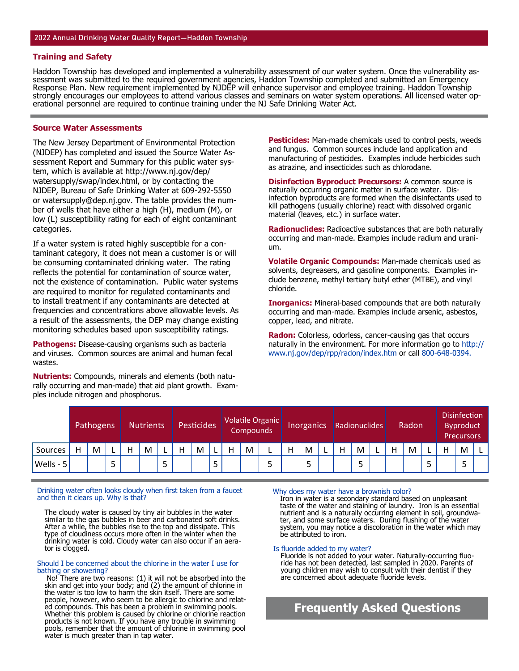#### **Training and Safety**

Haddon Township has developed and implemented a vulnerability assessment of our water system. Once the vulnerability assessment was submitted to the required government agencies, Haddon Township completed and submitted an Emergency Response Plan. New requirement implemented by NJDEP will enhance supervisor and employee training. Haddon Township strongly encourages our employees to attend various classes and seminars on water system operations. All licensed water operational personnel are required to continue training under the NJ Safe Drinking Water Act.

#### **Source Water Assessments**

The New Jersey Department of Environmental Protection (NJDEP) has completed and issued the Source Water Assessment Report and Summary for this public water system, which is available at http://www.nj.gov/dep/ watersupply/swap/index.html, or by contacting the NJDEP, Bureau of Safe Drinking Water at 609-292-5550 or watersupply@dep.nj.gov. The table provides the number of wells that have either a high (H), medium (M), or low (L) susceptibility rating for each of eight contaminant categories.

If a water system is rated highly susceptible for a contaminant category, it does not mean a customer is or will be consuming contaminated drinking water. The rating reflects the potential for contamination of source water, not the existence of contamination. Public water systems are required to monitor for regulated contaminants and to install treatment if any contaminants are detected at frequencies and concentrations above allowable levels. As a result of the assessments, the DEP may change existing monitoring schedules based upon susceptibility ratings.

**Pathogens:** Disease-causing organisms such as bacteria and viruses. Common sources are animal and human fecal wastes.

**Nutrients:** Compounds, minerals and elements (both naturally occurring and man-made) that aid plant growth. Examples include nitrogen and phosphorus.

**Pesticides:** Man-made chemicals used to control pests, weeds and fungus. Common sources include land application and manufacturing of pesticides. Examples include herbicides such as atrazine, and insecticides such as chlorodane.

**Disinfection Byproduct Precursors:** A common source is naturally occurring organic matter in surface water. Disinfection byproducts are formed when the disinfectants used to kill pathogens (usually chlorine) react with dissolved organic material (leaves, etc.) in surface water.

**Radionuclides:** Radioactive substances that are both naturally occurring and man-made. Examples include radium and uranium.

**Volatile Organic Compounds:** Man-made chemicals used as solvents, degreasers, and gasoline components. Examples include benzene, methyl tertiary butyl ether (MTBE), and vinyl chloride.

**Inorganics:** Mineral-based compounds that are both naturally occurring and man-made. Examples include arsenic, asbestos, copper, lead, and nitrate.

**Radon:** Colorless, odorless, cancer-causing gas that occurs naturally in the environment. For more information go to http:// www.nj.gov/dep/rpp/radon/index.htm or call 800-648-0394.

|                      | <b>Nutrients</b><br>Pathogens |   |  | <b>Pesticides</b> |   |  | Volatile Organic<br>Compounds |                | Inorganics Radionuclides |   |  | Radon |   | <b>Disinfection</b><br><b>Byproduct</b><br><b>Precursors</b> |   |   |  |   |   |  |   |   |  |
|----------------------|-------------------------------|---|--|-------------------|---|--|-------------------------------|----------------|--------------------------|---|--|-------|---|--------------------------------------------------------------|---|---|--|---|---|--|---|---|--|
| Sources              | н                             | M |  | M                 |   |  | M                             |                | Н                        | M |  | Н     | M |                                                              | н | M |  | н | M |  | н | M |  |
| $\textsf{Wells - 5}$ |                               |   |  |                   | پ |  |                               | $\blacksquare$ |                          |   |  |       | - |                                                              |   |   |  |   |   |  |   |   |  |

#### Drinking water often looks cloudy when first taken from a faucet and then it clears up. Why is that?

The cloudy water is caused by tiny air bubbles in the water similar to the gas bubbles in beer and carbonated soft drinks. After a while, the bubbles rise to the top and dissipate. This type of cloudiness occurs more often in the winter when the drinking water is cold. Cloudy water can also occur if an aerator is clogged.

#### Should I be concerned about the chlorine in the water I use for bathing or showering?

 No! There are two reasons: (1) it will not be absorbed into the skin and get into your body; and (2) the amount of chlorine in the water is too low to harm the skin itself. There are some people, however, who seem to be allergic to chlorine and related compounds. This has been a problem in swimming pools. Whether this problem is caused by chlorine or chlorine reaction products is not known. If you have any trouble in swimming pools, remember that the amount of chlorine in swimming pool water is much greater than in tap water.

#### Why does my water have a brownish color?

Iron in water is a secondary standard based on unpleasant taste of the water and staining of laundry. Iron is an essential nutrient and is a naturally occurring element in soil, groundwa-<br>ter, and some surface waters. During flushing of the water system, you may notice a discoloration in the water which may be attributed to iron.

#### Is fluoride added to my water?

Fluoride is not added to your water. Naturally-occurring fluoride has not been detected, last sampled in 2020. Parents of young children may wish to consult with their dentist if they are concerned about adequate fluoride levels.

# **Frequently Asked Questions**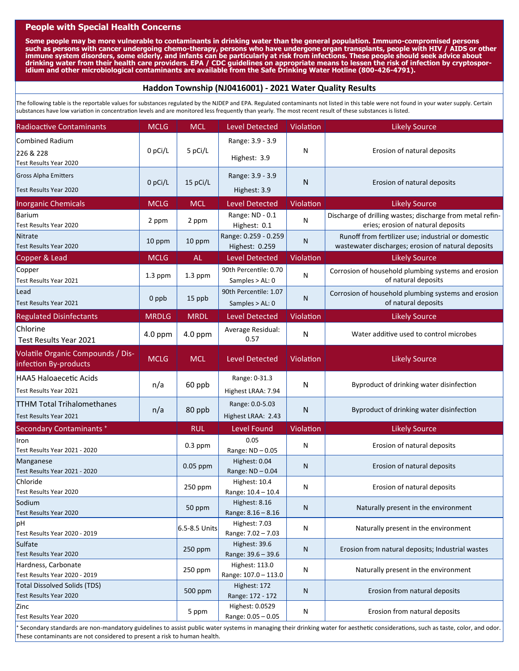# **People with Special Health Concerns**

Some people may be more vulnerable to contaminants in drinking water than the general population. Immuno-compromised persons **such as persons with cancer undergoing chemo-therapy, persons who have undergone organ transplants, people with HIV / AIDS or other immune system disorders, some elderly, and infants can be particularly at risk from infections. These people should seek advice about drinking water from their health care providers. EPA / CDC guidelines on appropriate means to lessen the risk of infection by cryptosporidium and other microbiological contaminants are available from the Safe Drinking Water Hotline (800-426-4791).** 

# **Haddon Township (NJ0416001) ‐ 2021 Water Quality Results**

The following table is the reportable values for substances regulated by the NJDEP and EPA. Regulated contaminants not listed in this table were not found in your water supply. Certain substances have low variation in concentration levels and are monitored less frequently than yearly. The most recent result of these substances is listed.

| <b>Radioactive Contaminants</b>                                  | <b>MCLG</b>       | <b>MCL</b>                             | <b>Level Detected</b>                    | Violation                                        | <b>Likely Source</b>                                                                                     |
|------------------------------------------------------------------|-------------------|----------------------------------------|------------------------------------------|--------------------------------------------------|----------------------------------------------------------------------------------------------------------|
| Combined Radium<br>226 & 228<br>Test Results Year 2020           | 0 pCi/L           |                                        | Range: 3.9 - 3.9<br>Highest: 3.9         | N                                                | Erosion of natural deposits                                                                              |
| <b>Gross Alpha Emitters</b><br>0 pCi/L<br>Test Results Year 2020 |                   | 15 pCi/L                               | Range: 3.9 - 3.9<br>Highest: 3.9         | N                                                | Erosion of natural deposits                                                                              |
| <b>Inorganic Chemicals</b>                                       | <b>MCLG</b>       | <b>MCL</b>                             | <b>Level Detected</b>                    | Violation                                        | <b>Likely Source</b>                                                                                     |
| <b>Barium</b><br>Test Results Year 2020                          | 2 ppm             | 2 ppm                                  | Range: ND - 0.1<br>Highest: 0.1          | N                                                | Discharge of drilling wastes; discharge from metal refin-<br>eries; erosion of natural deposits          |
| <b>Nitrate</b><br>Test Results Year 2020                         | 10 ppm            | 10 ppm                                 | Range: 0.259 - 0.259<br>Highest: 0.259   | N                                                | Runoff from fertilizer use; industrial or domestic<br>wastewater discharges; erosion of natural deposits |
| Copper & Lead                                                    | <b>MCLG</b>       | <b>AL</b>                              | <b>Level Detected</b>                    | Violation                                        | <b>Likely Source</b>                                                                                     |
| Copper<br>Test Results Year 2021                                 | $1.3$ ppm         | $1.3$ ppm                              | 90th Percentile: 0.70<br>Samples > AL: 0 | N                                                | Corrosion of household plumbing systems and erosion<br>of natural deposits                               |
| Lead<br>Test Results Year 2021                                   | 0 ppb             | 15 ppb                                 | 90th Percentile: 1.07<br>Samples > AL: 0 | N                                                | Corrosion of household plumbing systems and erosion<br>of natural deposits                               |
| <b>Regulated Disinfectants</b>                                   | <b>MRDLG</b>      | <b>MRDL</b>                            | <b>Level Detected</b>                    | Violation                                        | <b>Likely Source</b>                                                                                     |
| Chlorine<br>Test Results Year 2021                               | 4.0 ppm           | 4.0 ppm                                | Average Residual:<br>0.57                | N                                                | Water additive used to control microbes                                                                  |
| Volatile Organic Compounds / Dis-<br>infection By-products       | <b>MCLG</b>       | <b>MCL</b>                             | <b>Level Detected</b>                    | Violation                                        | <b>Likely Source</b>                                                                                     |
| <b>HAA5 Haloaecetic Acids</b><br>Test Results Year 2021          | n/a               | 60 ppb                                 | Range: 0-31.3<br>Highest LRAA: 7.94      | N                                                | Byproduct of drinking water disinfection                                                                 |
| <b>TTHM Total Trihalomethanes</b><br>Test Results Year 2021      | n/a               | 80 ppb                                 | Range: 0.0-5.03<br>Highest LRAA: 2.43    | N                                                | Byproduct of drinking water disinfection                                                                 |
| Secondary Contaminants +                                         |                   | <b>RUL</b>                             | Level Found                              | Violation                                        | <b>Likely Source</b>                                                                                     |
| Iron<br>Test Results Year 2021 - 2020                            |                   | $0.3$ ppm                              | 0.05<br>Range: ND-0.05                   | N                                                | Erosion of natural deposits                                                                              |
| Manganese<br>Test Results Year 2021 - 2020                       |                   | 0.05 ppm                               | Highest: 0.04<br>Range: ND-0.04          | N                                                | Erosion of natural deposits                                                                              |
| Chloride<br>Test Results Year 2020                               |                   | $250$ ppm                              | Highest: 10.4<br>Range: 10.4 - 10.4      | N                                                | Erosion of natural deposits                                                                              |
| Sodium<br>Test Results Year 2020                                 | 50 ppm            | Highest: 8.16<br>Range: 8.16 - 8.16    | N                                        | Naturally present in the environment             |                                                                                                          |
| рH<br>Test Results Year 2020 - 2019                              | $6.5 - 8.5$ Units | Highest: 7.03<br>Range: 7.02 - 7.03    | N                                        | Naturally present in the environment             |                                                                                                          |
| Sulfate<br>Test Results Year 2020                                | 250 ppm           | Highest: 39.6<br>Range: 39.6 - 39.6    | N                                        | Erosion from natural deposits; Industrial wastes |                                                                                                          |
| Hardness, Carbonate<br>Test Results Year 2020 - 2019             | 250 ppm           | Highest: 113.0<br>Range: 107.0 - 113.0 | N                                        | Naturally present in the environment             |                                                                                                          |
| <b>Total Dissolved Solids (TDS)</b><br>Test Results Year 2020    |                   | 500 ppm                                | Highest: 172<br>Range: 172 - 172         | N                                                | Erosion from natural deposits                                                                            |
| Zinc<br>Test Results Year 2020                                   |                   | 5 ppm                                  | Highest: 0.0529<br>Range: 0.05 - 0.05    | N                                                | Erosion from natural deposits                                                                            |

t Secondary standards are non-mandatory guidelines to assist public water systems in managing their drinking water for aesthetic considerations, such as taste, color, and odor. These contaminants are not considered to present a risk to human health.